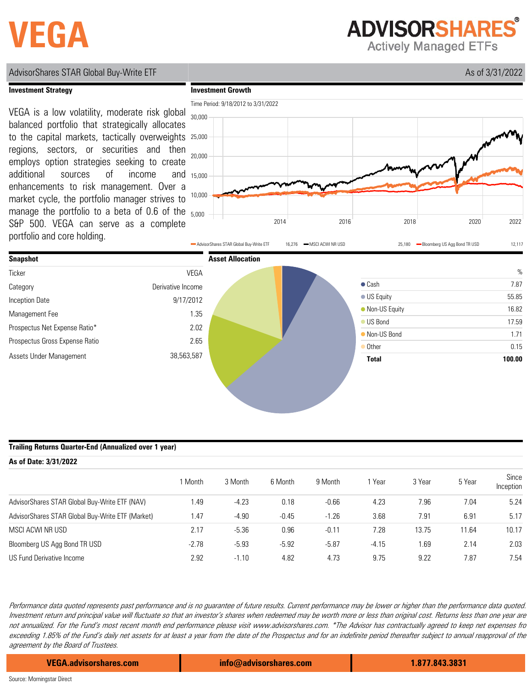# **VEGA**

**ADVISORSHARES** 

**Actively Managed ETFs** 

### AdvisorShares STAR Global Buy-Write ETF As of 3/31/2022

#### **Investment Strategy**

**Investment Growth**



manage the portfolio to a beta of 0.6 of the  $_{5,000}$ and 15,000 VEGA is a low volatility, moderate risk global balanced portfolio that strategically allocates to the capital markets, tactically overweights regions, sectors, or securities and then employs option strategies seeking to create additional sources of income enhancements to risk management. Over a market cycle, the portfolio manager strives to S&P 500. VEGA can serve as a complete portfolio and core holding.





### **Trailing Returns Quarter-End (Annualized over 1 year)**

| As of Date: 3/31/2022                            |         |         |         |         |         |        |        |                    |  |  |
|--------------------------------------------------|---------|---------|---------|---------|---------|--------|--------|--------------------|--|--|
|                                                  | I Month | 3 Month | 6 Month | 9 Month | Year    | 3 Year | 5 Year | Since<br>Inception |  |  |
| AdvisorShares STAR Global Buy-Write ETF (NAV)    | 1.49    | $-4.23$ | 0.18    | $-0.66$ | 4.23    | 7.96   | 7.04   | 5.24               |  |  |
| AdvisorShares STAR Global Buy-Write ETF (Market) | 1.47    | $-4.90$ | $-0.45$ | $-1.26$ | 3.68    | 7.91   | 6.91   | 5.17               |  |  |
| MSCI ACWI NR USD                                 | 2.17    | $-5.36$ | 0.96    | $-0.11$ | 7.28    | 13.75  | 11.64  | 10.17              |  |  |
| Bloomberg US Agg Bond TR USD                     | $-2.78$ | $-5.93$ | $-5.92$ | $-5.87$ | $-4.15$ | 1.69   | 2.14   | 2.03               |  |  |
| US Fund Derivative Income                        | 2.92    | $-1.10$ | 4.82    | 4.73    | 9.75    | 9.22   | 7.87   | 7.54               |  |  |

Performance data quoted represents past performance and is no guarantee of future results. Current performance may be lower or higher than the performance data quoted. Investment return and principal value will fluctuate so that an investor's shares when redeemed may be worth more or less than original cost. Returns less than one year are not annualized. For the Fund's most recent month end performance please visit www.advisorshares.com. \*The Advisor has contractually agreed to keep net expenses fro exceeding 1.85% of the Fund's daily net assets for at least a year from the date of the Prospectus and for an indefinite period thereafter subject to annual reapproval of the agreement by the Board of Trustees.